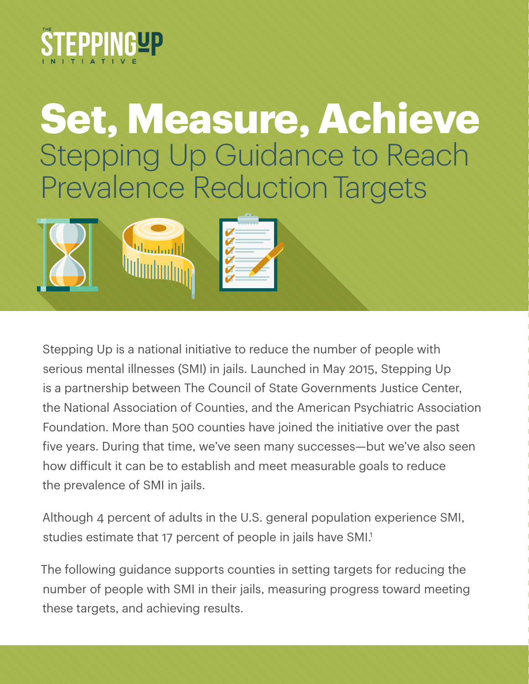<span id="page-0-0"></span>

# **Set, Measure, Achieve** Stepping Up Guidance to Reach Prevalence Reduction Targets



Stepping Up is a national initiative to reduce the number of people with serious mental illnesses (SMI) in jails. Launched in May 2015, Stepping Up is a partnership between The Council of State Governments Justice Center, the National Association of Counties, and the American Psychiatric Association Foundation. More than 500 counties have joined the initiative over the past five years. During that time, we've seen many successes—but we've also seen how difficult it can be to establish and meet measurable goals to reduce the prevalence of SMI in jails.

Although 4 percent of adults in the U.S. general population experience SMI, studies estimate that 17 percent of people in jails have SMI.<sup>1</sup>

The following guidance supports counties in setting targets for reducing the number of people with SMI in their jails, measuring progress toward meeting these targets, and achieving results.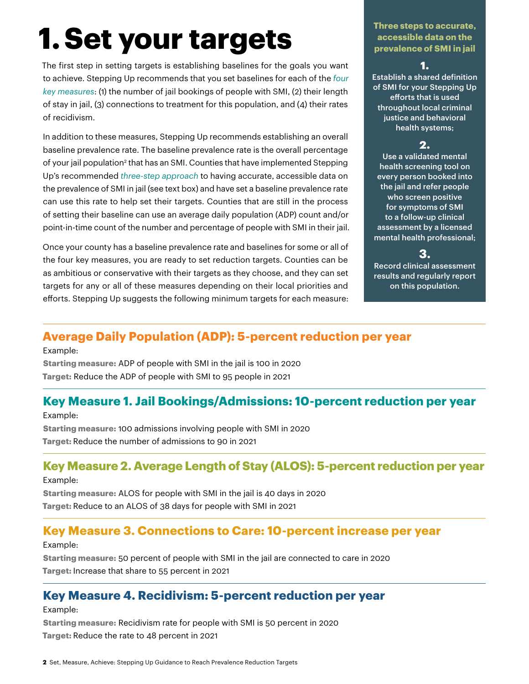# <span id="page-1-0"></span> **1. Set your targets**

The first step in setting targets is establishing baselines for the goals you want to achieve. Stepping Up recommends that you set baselines for each of the *[four](https://stepuptogether.org/wp-content/uploads/In-Focus_Collecting-and-Analyzing-Baseline-Data.pdf)  [key measures](https://stepuptogether.org/wp-content/uploads/In-Focus_Collecting-and-Analyzing-Baseline-Data.pdf)*: (1) the number of jail bookings of people with SMI, (2) their length of stay in jail, (3) connections to treatment for this population, and (4) their rates of recidivism.

In addition to these measures, Stepping Up recommends establishing an overall baseline prevalence rate. The baseline prevalence rate is the overall percentage of your jail population<sup>[2](#page-4-0)</sup> that has an SMI. Counties that have implemented Stepping Up's recommended *[three-step approach](https://stepuptogether.org/wp-content/uploads/In-Focus-MH-Screening-Assessment-7.31.18-FINAL.pdf)* to having accurate, accessible data on the prevalence of SMI in jail (see text box) and have set a baseline prevalence rate can use this rate to help set their targets. Counties that are still in the process of setting their baseline can use an average daily population (ADP) count and/or point-in-time count of the number and percentage of people with SMI in their jail.

Once your county has a baseline prevalence rate and baselines for some or all of the four key measures, you are ready to set reduction targets. Counties can be as ambitious or conservative with their targets as they choose, and they can set targets for any or all of these measures depending on their local priorities and efforts. Stepping Up suggests the following minimum targets for each measure:

#### **Three steps to accurate, accessible data on the prevalence of SMI in jail**

### **1.**

Establish a shared definition of SMI for your Stepping Up efforts that is used throughout local criminal justice and behavioral health systems;

### **2.**

Use a validated mental health screening tool on every person booked into the jail and refer people who screen positive for symptoms of SMI to a follow-up clinical assessment by a licensed mental health professional;

**3.**

Record clinical assessment results and regularly report on this population.

## **Average Daily Population (ADP): 5-percent reduction per year**

#### Example:

**Starting measure:** ADP of people with SMI in the jail is 100 in 2020 **Target:** Reduce the ADP of people with SMI to 95 people in 2021

## **Key Measure 1. Jail Bookings/Admissions: 10-percent reduction per year**

### Example:

**Starting measure:** 100 admissions involving people with SMI in 2020 **Target:** Reduce the number of admissions to 90 in 2021

## **Key Measure 2. Average Length of Stay (ALOS): 5-percent reduction per year**

Example:

**Starting measure:** ALOS for people with SMI in the jail is 40 days in 2020 **Target:** Reduce to an ALOS of 38 days for people with SMI in 2021

## **Key Measure 3. Connections to Care: 10-percent increase per year**

### Example:

**Starting measure:** 50 percent of people with SMI in the jail are connected to care in 2020 **Target:** Increase that share to 55 percent in 2021

## **Key Measure 4. Recidivism: 5-percent reduction per year**

#### Example:

**Starting measure:** Recidivism rate for people with SMI is 50 percent in 2020 **Target:** Reduce the rate to 48 percent in 2021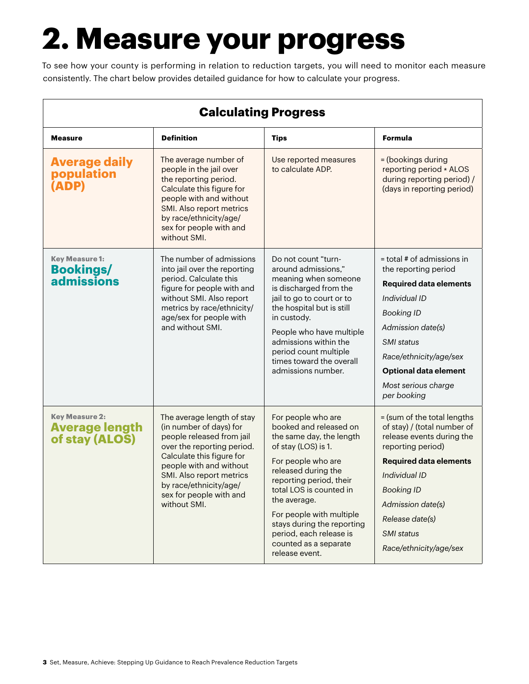# **2. Measure your progress**

To see how your county is performing in relation to reduction targets, you will need to monitor each measure consistently. The chart below provides detailed guidance for how to calculate your progress.

| <b>Calculating Progress</b>                                      |                                                                                                                                                                                                                                                                           |                                                                                                                                                                                                                                                                                                       |                                                                                                                                                                                                                             |  |
|------------------------------------------------------------------|---------------------------------------------------------------------------------------------------------------------------------------------------------------------------------------------------------------------------------------------------------------------------|-------------------------------------------------------------------------------------------------------------------------------------------------------------------------------------------------------------------------------------------------------------------------------------------------------|-----------------------------------------------------------------------------------------------------------------------------------------------------------------------------------------------------------------------------|--|
| <b>Measure</b>                                                   | <b>Definition</b>                                                                                                                                                                                                                                                         | <b>Tips</b>                                                                                                                                                                                                                                                                                           | Formula                                                                                                                                                                                                                     |  |
| <b>Average daily</b><br>population<br>(ADP)                      | The average number of<br>people in the jail over<br>the reporting period.<br>Calculate this figure for<br>people with and without<br>SMI. Also report metrics<br>by race/ethnicity/age/<br>sex for people with and<br>without SMI.                                        | Use reported measures<br>to calculate ADP.                                                                                                                                                                                                                                                            | = (bookings during<br>reporting period * ALOS<br>during reporting period) /<br>(days in reporting period)                                                                                                                   |  |
| <b>Key Measure 1:</b><br><b>Bookings/</b><br>admissions          | The number of admissions<br>into jail over the reporting<br>period. Calculate this<br>figure for people with and<br>without SMI. Also report<br>metrics by race/ethnicity/<br>age/sex for people with<br>and without SMI.                                                 | Do not count "turn-<br>around admissions."<br>meaning when someone<br>is discharged from the<br>jail to go to court or to<br>the hospital but is still<br>in custody.<br>People who have multiple<br>admissions within the<br>period count multiple<br>times toward the overall<br>admissions number. | = total # of admissions in<br>the reporting period                                                                                                                                                                          |  |
|                                                                  |                                                                                                                                                                                                                                                                           |                                                                                                                                                                                                                                                                                                       | <b>Required data elements</b>                                                                                                                                                                                               |  |
|                                                                  |                                                                                                                                                                                                                                                                           |                                                                                                                                                                                                                                                                                                       | Individual ID                                                                                                                                                                                                               |  |
|                                                                  |                                                                                                                                                                                                                                                                           |                                                                                                                                                                                                                                                                                                       | <b>Booking ID</b>                                                                                                                                                                                                           |  |
|                                                                  |                                                                                                                                                                                                                                                                           |                                                                                                                                                                                                                                                                                                       | Admission date(s)                                                                                                                                                                                                           |  |
|                                                                  |                                                                                                                                                                                                                                                                           |                                                                                                                                                                                                                                                                                                       | SMI status                                                                                                                                                                                                                  |  |
|                                                                  |                                                                                                                                                                                                                                                                           |                                                                                                                                                                                                                                                                                                       | Race/ethnicity/age/sex                                                                                                                                                                                                      |  |
|                                                                  |                                                                                                                                                                                                                                                                           |                                                                                                                                                                                                                                                                                                       | <b>Optional data element</b>                                                                                                                                                                                                |  |
|                                                                  |                                                                                                                                                                                                                                                                           |                                                                                                                                                                                                                                                                                                       | Most serious charge<br>per booking                                                                                                                                                                                          |  |
| <b>Key Measure 2:</b><br><b>Average length</b><br>of stay (ALOS) | The average length of stay<br>(in number of days) for<br>people released from jail<br>over the reporting period.<br>Calculate this figure for<br>people with and without<br>SMI. Also report metrics<br>by race/ethnicity/age/<br>sex for people with and<br>without SMI. | For people who are<br>booked and released on<br>the same day, the length<br>of stay (LOS) is 1.<br>For people who are<br>released during the<br>reporting period, their<br>total LOS is counted in<br>the average.<br>For people with multiple<br>stays during the reporting                          | = (sum of the total lengths<br>of stay) / (total number of<br>release events during the<br>reporting period)<br><b>Required data elements</b><br>Individual ID<br><b>Booking ID</b><br>Admission date(s)<br>Release date(s) |  |
|                                                                  |                                                                                                                                                                                                                                                                           | period, each release is<br>counted as a separate<br>release event.                                                                                                                                                                                                                                    | <b>SMI</b> status<br>Race/ethnicity/age/sex                                                                                                                                                                                 |  |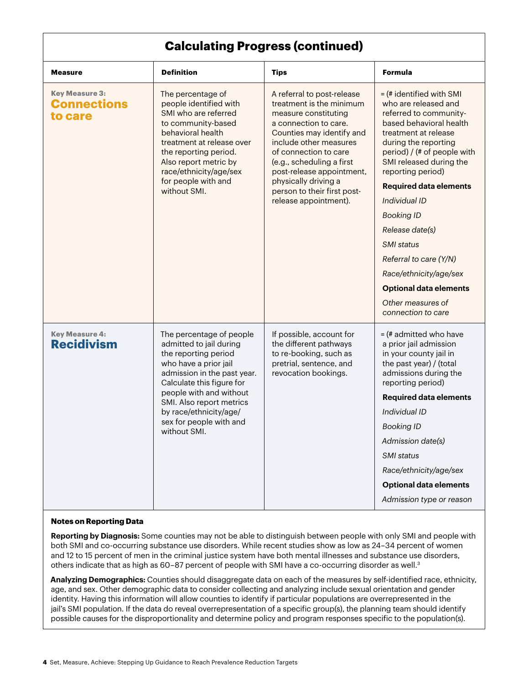### **Calculating Progress (continued)**

<span id="page-3-0"></span>

| <b>Measure</b>                                         | <b>Definition</b>                                                                                                                                                                                                                                                                            | <b>Tips</b>                                                                                                                                                                                                                                                                                                                       | Formula                                                                                                                                                                                                                                                                                                                                                                                                                                                                               |
|--------------------------------------------------------|----------------------------------------------------------------------------------------------------------------------------------------------------------------------------------------------------------------------------------------------------------------------------------------------|-----------------------------------------------------------------------------------------------------------------------------------------------------------------------------------------------------------------------------------------------------------------------------------------------------------------------------------|---------------------------------------------------------------------------------------------------------------------------------------------------------------------------------------------------------------------------------------------------------------------------------------------------------------------------------------------------------------------------------------------------------------------------------------------------------------------------------------|
| <b>Key Measure 3:</b><br><b>Connections</b><br>to care | The percentage of<br>people identified with<br>SMI who are referred<br>to community-based<br>behavioral health<br>treatment at release over<br>the reporting period.<br>Also report metric by<br>race/ethnicity/age/sex<br>for people with and<br>without SMI.                               | A referral to post-release<br>treatment is the minimum<br>measure constituting<br>a connection to care.<br>Counties may identify and<br>include other measures<br>of connection to care<br>(e.g., scheduling a first<br>post-release appointment,<br>physically driving a<br>person to their first post-<br>release appointment). | $=$ (# identified with SMI<br>who are released and<br>referred to community-<br>based behavioral health<br>treatment at release<br>during the reporting<br>period) / (# of people with<br>SMI released during the<br>reporting period)<br><b>Required data elements</b><br>Individual ID<br><b>Booking ID</b><br>Release date(s)<br><b>SMI</b> status<br>Referral to care (Y/N)<br>Race/ethnicity/age/sex<br><b>Optional data elements</b><br>Other measures of<br>connection to care |
| <b>Key Measure 4:</b><br><b>Recidivism</b>             | The percentage of people<br>admitted to jail during<br>the reporting period<br>who have a prior jail<br>admission in the past year.<br>Calculate this figure for<br>people with and without<br>SMI. Also report metrics<br>by race/ethnicity/age/<br>sex for people with and<br>without SMI. | If possible, account for<br>the different pathways<br>to re-booking, such as<br>pretrial, sentence, and<br>revocation bookings.                                                                                                                                                                                                   | $=$ (# admitted who have<br>a prior jail admission<br>in your county jail in<br>the past year) / (total<br>admissions during the<br>reporting period)<br><b>Required data elements</b><br>Individual ID<br><b>Booking ID</b><br>Admission date(s)<br><b>SMI</b> status<br>Race/ethnicity/age/sex<br><b>Optional data elements</b><br>Admission type or reason                                                                                                                         |

#### **Notes on Reporting Data**

**Reporting by Diagnosis:** Some counties may not be able to distinguish between people with only SMI and people with both SMI and co-occurring substance use disorders. While recent studies show as low as 24–34 percent of women and 12 to 15 percent of men in the criminal justice system have both mental illnesses and substance use disorders, others indicate that as high as 60-87 percent of people with SMI have a co-occurring disorder as well.<sup>3</sup>

**Analyzing Demographics:** Counties should disaggregate data on each of the measures by self-identified race, ethnicity, age, and sex. Other demographic data to consider collecting and analyzing include sexual orientation and gender identity. Having this information will allow counties to identify if particular populations are overrepresented in the jail's SMI population. If the data do reveal overrepresentation of a specific group(s), the planning team should identify possible causes for the disproportionality and determine policy and program responses specific to the population(s).